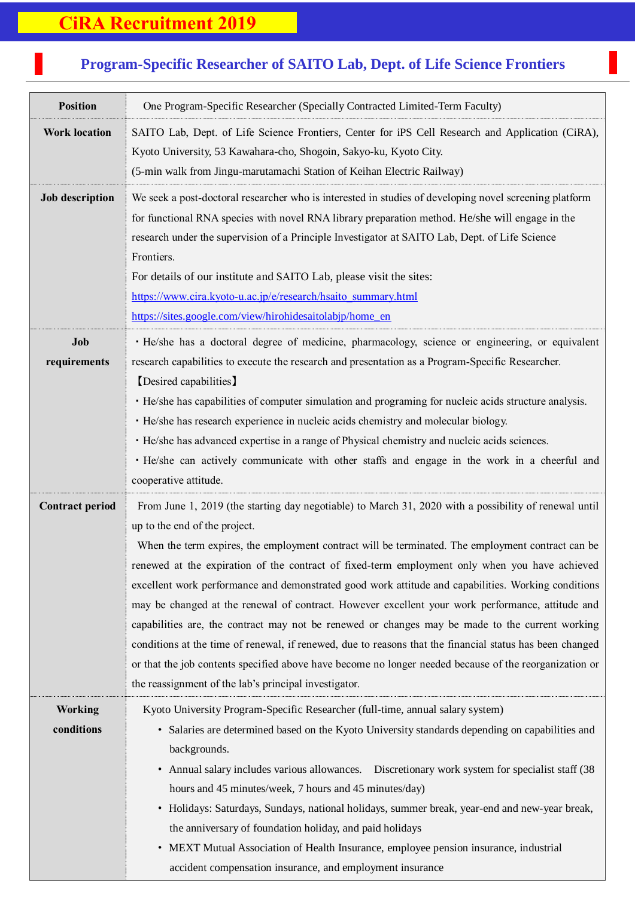## **CiRA Recruitment 2019**

## **Program-Specific Researcher of SAITO Lab, Dept. of Life Science Frontiers**

7<br>7<br>7

| <b>Position</b>              | One Program-Specific Researcher (Specially Contracted Limited-Term Faculty)                                                                                                                                                                                                                                                                                                                                                                                                                                                                                                                                                                                                                                                                                                                                                                                                                                                                |
|------------------------------|--------------------------------------------------------------------------------------------------------------------------------------------------------------------------------------------------------------------------------------------------------------------------------------------------------------------------------------------------------------------------------------------------------------------------------------------------------------------------------------------------------------------------------------------------------------------------------------------------------------------------------------------------------------------------------------------------------------------------------------------------------------------------------------------------------------------------------------------------------------------------------------------------------------------------------------------|
| <b>Work location</b>         | SAITO Lab, Dept. of Life Science Frontiers, Center for iPS Cell Research and Application (CiRA),<br>Kyoto University, 53 Kawahara-cho, Shogoin, Sakyo-ku, Kyoto City.<br>(5-min walk from Jingu-marutamachi Station of Keihan Electric Railway)                                                                                                                                                                                                                                                                                                                                                                                                                                                                                                                                                                                                                                                                                            |
| <b>Job description</b>       | We seek a post-doctoral researcher who is interested in studies of developing novel screening platform<br>for functional RNA species with novel RNA library preparation method. He/she will engage in the<br>research under the supervision of a Principle Investigator at SAITO Lab, Dept. of Life Science<br>Frontiers.<br>For details of our institute and SAITO Lab, please visit the sites:<br>https://www.cira.kyoto-u.ac.jp/e/research/hsaito_summary.html<br>https://sites.google.com/view/hirohidesaitolabjp/home_en                                                                                                                                                                                                                                                                                                                                                                                                              |
| Job<br>requirements          | · He/she has a doctoral degree of medicine, pharmacology, science or engineering, or equivalent<br>research capabilities to execute the research and presentation as a Program-Specific Researcher.<br>[Desired capabilities]<br>• He/she has capabilities of computer simulation and programing for nucleic acids structure analysis.<br>· He/she has research experience in nucleic acids chemistry and molecular biology.<br>· He/she has advanced expertise in a range of Physical chemistry and nucleic acids sciences.<br>· He/she can actively communicate with other staffs and engage in the work in a cheerful and<br>cooperative attitude.                                                                                                                                                                                                                                                                                      |
| <b>Contract period</b>       | From June 1, 2019 (the starting day negotiable) to March 31, 2020 with a possibility of renewal until<br>up to the end of the project.<br>When the term expires, the employment contract will be terminated. The employment contract can be<br>renewed at the expiration of the contract of fixed-term employment only when you have achieved<br>excellent work performance and demonstrated good work attitude and capabilities. Working conditions<br>may be changed at the renewal of contract. However excellent your work performance, attitude and<br>capabilities are, the contract may not be renewed or changes may be made to the current working<br>conditions at the time of renewal, if renewed, due to reasons that the financial status has been changed<br>or that the job contents specified above have become no longer needed because of the reorganization or<br>the reassignment of the lab's principal investigator. |
| <b>Working</b><br>conditions | Kyoto University Program-Specific Researcher (full-time, annual salary system)<br>• Salaries are determined based on the Kyoto University standards depending on capabilities and<br>backgrounds.<br>• Annual salary includes various allowances. Discretionary work system for specialist staff (38)<br>hours and 45 minutes/week, 7 hours and 45 minutes/day)<br>• Holidays: Saturdays, Sundays, national holidays, summer break, year-end and new-year break,<br>the anniversary of foundation holiday, and paid holidays<br>• MEXT Mutual Association of Health Insurance, employee pension insurance, industrial<br>accident compensation insurance, and employment insurance                                                                                                                                                                                                                                                         |